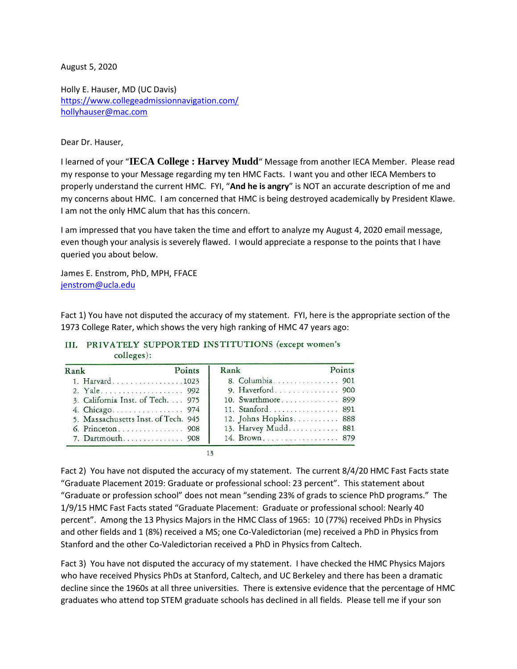August 5, 2020

Holly E. Hauser, MD (UC Davis) <https://www.collegeadmissionnavigation.com/> [hollyhauser@mac.com](mailto:hollyhauser@mac.com)

## Dear Dr. Hauser,

I learned of your "**IECA College : Harvey Mudd**" Message from another IECA Member. Please read my response to your Message regarding my ten HMC Facts. I want you and other IECA Members to properly understand the current HMC. FYI, "**And he is angry**" is NOT an accurate description of me and my concerns about HMC. I am concerned that HMC is being destroyed academically by President Klawe. I am not the only HMC alum that has this concern.

I am impressed that you have taken the time and effort to analyze my August 4, 2020 email message, even though your analysis is severely flawed. I would appreciate a response to the points that I have queried you about below.

James E. Enstrom, PhD, MPH, FFACE [jenstrom@ucla.edu](mailto:jenstrom@ucla.edu)

Fact 1) You have not disputed the accuracy of my statement. FYI, here is the appropriate section of the 1973 College Rater, which shows the very high ranking of HMC 47 years ago:

## III. PRIVATELY SUPPORTED INSTITUTIONS (except women's  $colleges$ :

| Rank                                | Points | Rank                  | Points |
|-------------------------------------|--------|-----------------------|--------|
| 1. Harvard1023                      |        | 8. Columbia 901       |        |
| 2. Yale 992                         |        | 9. Haverford 900      |        |
| 3. California Inst. of Tech. 975    |        | 10. Swarthmore 899    |        |
|                                     |        | 11. Stanford 891      |        |
| 5. Massachusetts Inst. of Tech. 945 |        | 12. Johns Hopkins 888 |        |
| 6. Princeton 908                    |        | 13. Harvey Mudd 881   |        |
| 7. Dartmouth 908                    |        | 14. Brown. 879        |        |

Fact 2) You have not disputed the accuracy of my statement. The current 8/4/20 HMC Fast Facts state "Graduate Placement 2019: Graduate or professional school: 23 percent". This statement about "Graduate or profession school" does not mean "sending 23% of grads to science PhD programs." The 1/9/15 HMC Fast Facts stated "Graduate Placement: Graduate or professional school: Nearly 40 percent". Among the 13 Physics Majors in the HMC Class of 1965: 10 (77%) received PhDs in Physics and other fields and 1 (8%) received a MS; one Co-Valedictorian (me) received a PhD in Physics from Stanford and the other Co-Valedictorian received a PhD in Physics from Caltech.

Fact 3) You have not disputed the accuracy of my statement. I have checked the HMC Physics Majors who have received Physics PhDs at Stanford, Caltech, and UC Berkeley and there has been a dramatic decline since the 1960s at all three universities. There is extensive evidence that the percentage of HMC graduates who attend top STEM graduate schools has declined in all fields. Please tell me if your son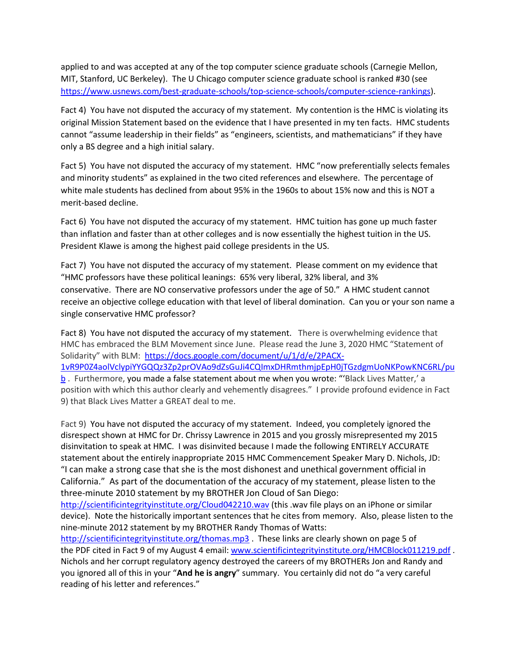applied to and was accepted at any of the top computer science graduate schools (Carnegie Mellon, MIT, Stanford, UC Berkeley). The U Chicago computer science graduate school is ranked #30 (see [https://www.usnews.com/best-graduate-schools/top-science-schools/computer-science-rankings\)](https://www.usnews.com/best-graduate-schools/top-science-schools/computer-science-rankings).

Fact 4) You have not disputed the accuracy of my statement. My contention is the HMC is violating its original Mission Statement based on the evidence that I have presented in my ten facts. HMC students cannot "assume leadership in their fields" as "engineers, scientists, and mathematicians" if they have only a BS degree and a high initial salary.

Fact 5) You have not disputed the accuracy of my statement. HMC "now preferentially selects females and minority students" as explained in the two cited references and elsewhere. The percentage of white male students has declined from about 95% in the 1960s to about 15% now and this is NOT a merit-based decline.

Fact 6) You have not disputed the accuracy of my statement. HMC tuition has gone up much faster than inflation and faster than at other colleges and is now essentially the highest tuition in the US. President Klawe is among the highest paid college presidents in the US.

Fact 7) You have not disputed the accuracy of my statement. Please comment on my evidence that "HMC professors have these political leanings: 65% very liberal, 32% liberal, and 3% conservative. There are NO conservative professors under the age of 50." A HMC student cannot receive an objective college education with that level of liberal domination. Can you or your son name a single conservative HMC professor?

Fact 8) You have not disputed the accuracy of my statement. There is overwhelming evidence that HMC has embraced the BLM Movement since June. Please read the June 3, 2020 HMC "Statement of Solidarity" with BLM: [https://docs.google.com/document/u/1/d/e/2PACX-](https://docs.google.com/document/u/1/d/e/2PACX-1vR9P0Z4aolVclypiYYGQQz3Zp2prOVAo9dZsGuJi4CQImxDHRmthmjpEpH0jTGzdgmUoNKPowKNC6RL/pub)[1vR9P0Z4aolVclypiYYGQQz3Zp2prOVAo9dZsGuJi4CQImxDHRmthmjpEpH0jTGzdgmUoNKPowKNC6RL/pu](https://docs.google.com/document/u/1/d/e/2PACX-1vR9P0Z4aolVclypiYYGQQz3Zp2prOVAo9dZsGuJi4CQImxDHRmthmjpEpH0jTGzdgmUoNKPowKNC6RL/pub) [b](https://docs.google.com/document/u/1/d/e/2PACX-1vR9P0Z4aolVclypiYYGQQz3Zp2prOVAo9dZsGuJi4CQImxDHRmthmjpEpH0jTGzdgmUoNKPowKNC6RL/pub) . Furthermore, you made a false statement about me when you wrote: "'Black Lives Matter,' a position with which this author clearly and vehemently disagrees." I provide profound evidence in Fact 9) that Black Lives Matter a GREAT deal to me.

Fact 9) You have not disputed the accuracy of my statement. Indeed, you completely ignored the disrespect shown at HMC for Dr. Chrissy Lawrence in 2015 and you grossly misrepresented my 2015 disinvitation to speak at HMC. I was disinvited because I made the following ENTIRELY ACCURATE statement about the entirely inappropriate 2015 HMC Commencement Speaker Mary D. Nichols, JD: "I can make a strong case that she is the most dishonest and unethical government official in California." As part of the documentation of the accuracy of my statement, please listen to the three-minute 2010 statement by my BROTHER Jon Cloud of San Diego:

<http://scientificintegrityinstitute.org/Cloud042210.wav> (this .wav file plays on an iPhone or similar device). Note the historically important sentences that he cites from memory. Also, please listen to the nine-minute 2012 statement by my BROTHER Randy Thomas of Watts:

<http://scientificintegrityinstitute.org/thomas.mp3> . These links are clearly shown on page 5 of the PDF cited in Fact 9 of my August 4 email[: www.scientificintegrityinstitute.org/HMCBlock011219.pdf](http://www.scientificintegrityinstitute.org/HMCBlock011219.pdf) . Nichols and her corrupt regulatory agency destroyed the careers of my BROTHERs Jon and Randy and you ignored all of this in your "**And he is angry**" summary. You certainly did not do "a very careful reading of his letter and references."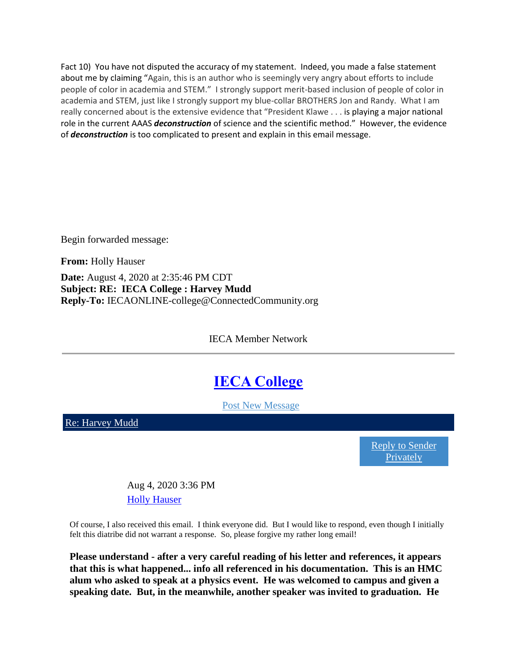Fact 10) You have not disputed the accuracy of my statement. Indeed, you made a false statement about me by claiming "Again, this is an author who is seemingly very angry about efforts to include people of color in academia and STEM." I strongly support merit-based inclusion of people of color in academia and STEM, just like I strongly support my blue-collar BROTHERS Jon and Randy. What I am really concerned about is the extensive evidence that "President Klawe . . . is playing a major national role in the current AAAS *deconstruction* of science and the scientific method." However, the evidence of *deconstruction* is too complicated to present and explain in this email message.

Begin forwarded message:

**From:** Holly Hauser

**Date:** August 4, 2020 at 2:35:46 PM CDT **Subject: RE: IECA College : Harvey Mudd Reply-To:** IECAONLINE-college@ConnectedCommunity.org

IECA Member Network

## **[IECA College](https://network.iecaonline.com/communities/community-home/digestviewer?tab=digestviewer&CommunityKey=b779c83f-768a-412d-adb7-9da69906fb56)**

[Post New Message](mailto:IECAONLINE-college@ConnectedCommunity.org)

[Re: Harvey Mudd](https://network.iecaonline.com/communities/community-home/digestviewer/viewthread?MessageKey=7a3d1861-eb0e-4b6d-9941-d365a899939d&CommunityKey=b779c83f-768a-412d-adb7-9da69906fb56&tab=digestviewer#bm7a3d1861-eb0e-4b6d-9941-d365a899939d)

[Reply to Sender](mailto:hollyhauser@mac.com?subject=Re:+Harvey+Mudd)  [Privately](mailto:hollyhauser@mac.com?subject=Re:+Harvey+Mudd)

Aug 4, 2020 3:36 PM **[Holly Hauser](https://network.iecaonline.com/network/members/profile?UserKey=097ec7a7-fc8b-4c4a-a233-d5472d9d6ed0)** 

Of course, I also received this email. I think everyone did. But I would like to respond, even though I initially felt this diatribe did not warrant a response. So, please forgive my rather long email!

**Please understand - after a very careful reading of his letter and references, it appears that this is what happened... info all referenced in his documentation. This is an HMC alum who asked to speak at a physics event. He was welcomed to campus and given a speaking date. But, in the meanwhile, another speaker was invited to graduation. He**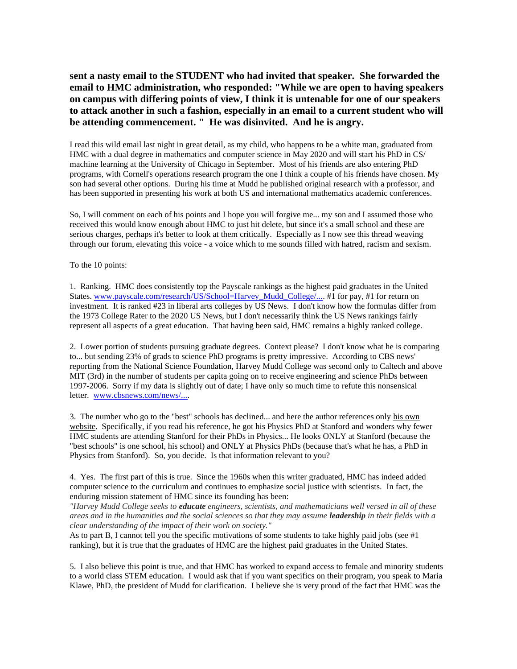**sent a nasty email to the STUDENT who had invited that speaker. She forwarded the email to HMC administration, who responded: "While we are open to having speakers on campus with differing points of view, I think it is untenable for one of our speakers to attack another in such a fashion, especially in an email to a current student who will be attending commencement. " He was disinvited. And he is angry.**

I read this wild email last night in great detail, as my child, who happens to be a white man, graduated from HMC with a dual degree in mathematics and computer science in May 2020 and will start his PhD in CS/ machine learning at the University of Chicago in September. Most of his friends are also entering PhD programs, with Cornell's operations research program the one I think a couple of his friends have chosen. My son had several other options. During his time at Mudd he published original research with a professor, and has been supported in presenting his work at both US and international mathematics academic conferences.

So, I will comment on each of his points and I hope you will forgive me... my son and I assumed those who received this would know enough about HMC to just hit delete, but since it's a small school and these are serious charges, perhaps it's better to look at them critically. Especially as I now see this thread weaving through our forum, elevating this voice - a voice which to me sounds filled with hatred, racism and sexism.

To the 10 points:

1. Ranking. HMC does consistently top the Payscale rankings as the highest paid graduates in the United States. [www.payscale.com/research/US/School=Harvey\\_Mudd\\_College/....](https://www.payscale.com/research/US/School=Harvey_Mudd_College/Salary) #1 for pay, #1 for return on investment. It is ranked #23 in liberal arts colleges by US News. I don't know how the formulas differ from the 1973 College Rater to the 2020 US News, but I don't necessarily think the US News rankings fairly represent all aspects of a great education. That having been said, HMC remains a highly ranked college.

2. Lower portion of students pursuing graduate degrees. Context please? I don't know what he is comparing to... but sending 23% of grads to science PhD programs is pretty impressive. According to CBS news' reporting from the National Science Foundation, Harvey Mudd College was second only to Caltech and above MIT (3rd) in the number of students per capita going on to receive engineering and science PhDs between 1997-2006. Sorry if my data is slightly out of date; I have only so much time to refute this nonsensical letter. [www.cbsnews.com/news/....](https://www.cbsnews.com/news/top-50-schools-that-produce-science-phds/)

3. The number who go to the "best" schools has declined... and here the author references only his own website. Specifically, if you read his reference, he got his Physics PhD at Stanford and wonders why fewer HMC students are attending Stanford for their PhDs in Physics... He looks ONLY at Stanford (because the "best schools" is one school, his school) and ONLY at Physics PhDs (because that's what he has, a PhD in Physics from Stanford). So, you decide. Is that information relevant to you?

4. Yes. The first part of this is true. Since the 1960s when this writer graduated, HMC has indeed added computer science to the curriculum and continues to emphasize social justice with scientists. In fact, the enduring mission statement of HMC since its founding has been:

*"Harvey Mudd College seeks to educate engineers, scientists, and mathematicians well versed in all of these areas and in the humanities and the social sciences so that they may assume leadership in their fields with a clear understanding of the impact of their work on society."*

As to part B, I cannot tell you the specific motivations of some students to take highly paid jobs (see #1) ranking), but it is true that the graduates of HMC are the highest paid graduates in the United States.

5. I also believe this point is true, and that HMC has worked to expand access to female and minority students to a world class STEM education. I would ask that if you want specifics on their program, you speak to Maria Klawe, PhD, the president of Mudd for clarification. I believe she is very proud of the fact that HMC was the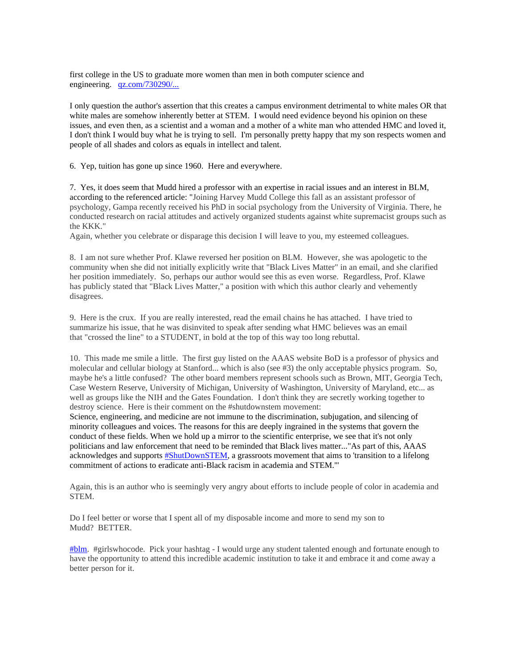first college in the US to graduate more women than men in both computer science and engineering. [qz.com/730290/...](https://qz.com/730290/harvey-mudd-college-took-on-gender-bias-and-now-more-than-half-its-computer-science-majors-are-women/#:~:text=Harvey%20Mudd%20College%2C%20in%20Claremont,%2C%20that%20figure%20is%2055%25.)

I only question the author's assertion that this creates a campus environment detrimental to white males OR that white males are somehow inherently better at STEM. I would need evidence beyond his opinion on these issues, and even then, as a scientist and a woman and a mother of a white man who attended HMC and loved it, I don't think I would buy what he is trying to sell. I'm personally pretty happy that my son respects women and people of all shades and colors as equals in intellect and talent.

6. Yep, tuition has gone up since 1960. Here and everywhere.

7. Yes, it does seem that Mudd hired a professor with an expertise in racial issues and an interest in BLM, according to the referenced article: "Joining Harvey Mudd College this fall as an assistant professor of psychology, Gampa recently received his PhD in social psychology from the University of Virginia. There, he conducted research on racial attitudes and actively organized students against white supremacist groups such as the KKK."

Again, whether you celebrate or disparage this decision I will leave to you, my esteemed colleagues.

8. I am not sure whether Prof. Klawe reversed her position on BLM. However, she was apologetic to the community when she did not initially explicitly write that "Black Lives Matter" in an email, and she clarified her position immediately. So, perhaps our author would see this as even worse. Regardless, Prof. Klawe has publicly stated that "Black Lives Matter," a position with which this author clearly and vehemently disagrees.

9. Here is the crux. If you are really interested, read the email chains he has attached. I have tried to summarize his issue, that he was disinvited to speak after sending what HMC believes was an email that "crossed the line" to a STUDENT, in bold at the top of this way too long rebuttal.

10. This made me smile a little. The first guy listed on the AAAS website BoD is a professor of physics and molecular and cellular biology at Stanford... which is also (see #3) the only acceptable physics program. So, maybe he's a little confused? The other board members represent schools such as Brown, MIT, Georgia Tech, Case Western Reserve, University of Michigan, University of Washington, University of Maryland, etc... as well as groups like the NIH and the Gates Foundation. I don't think they are secretly working together to destroy science. Here is their comment on the #shutdownstem movement:

Science, engineering, and medicine are not immune to the discrimination, subjugation, and silencing of minority colleagues and voices. The reasons for this are deeply ingrained in the systems that govern the conduct of these fields. When we hold up a mirror to the scientific enterprise, we see that it's not only politicians and law enforcement that need to be reminded that Black lives matter..."As part of this, AAAS acknowledges and supports  $\frac{H \text{ShutDownSTEM}}{H}$ , a grassroots movement that aims to 'transition to a lifelong commitment of actions to eradicate anti-Black racism in academia and STEM.'"

Again, this is an author who is seemingly very angry about efforts to include people of color in academia and STEM.

Do I feel better or worse that I spent all of my disposable income and more to send my son to Mudd? BETTER.

[#blm.](https://network.iecaonline.com/search?s=%23blm&executesearch=true) #girlswhocode. Pick your hashtag - I would urge any student talented enough and fortunate enough to have the opportunity to attend this incredible academic institution to take it and embrace it and come away a better person for it.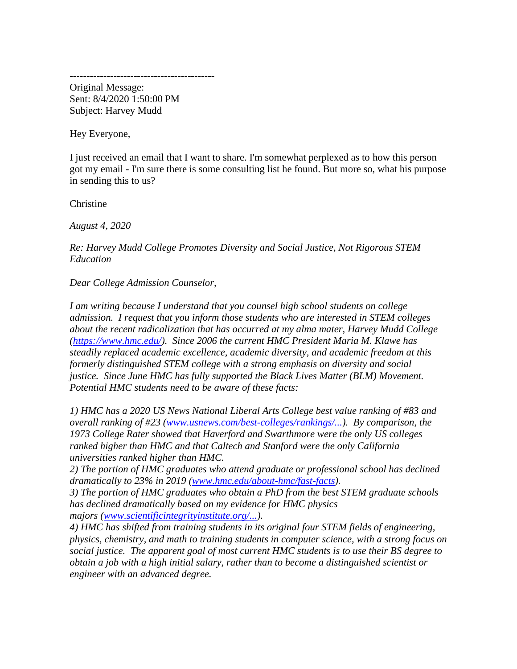-------------------------------------------

Original Message: Sent: 8/4/2020 1:50:00 PM Subject: Harvey Mudd

Hey Everyone,

I just received an email that I want to share. I'm somewhat perplexed as to how this person got my email - I'm sure there is some consulting list he found. But more so, what his purpose in sending this to us?

Christine

*August 4, 2020*

*Re: Harvey Mudd College Promotes Diversity and Social Justice, Not Rigorous STEM Education*

*Dear College Admission Counselor,*

*I am writing because I understand that you counsel high school students on college admission. I request that you inform those students who are interested in STEM colleges about the recent radicalization that has occurred at my alma mater, Harvey Mudd College [\(https://www.hmc.edu/\)](https://www.hmc.edu/). Since 2006 the current HMC President Maria M. Klawe has steadily replaced academic excellence, academic diversity, and academic freedom at this formerly distinguished STEM college with a strong emphasis on diversity and social justice. Since June HMC has fully supported the Black Lives Matter (BLM) Movement. Potential HMC students need to be aware of these facts:*

*1) HMC has a 2020 US News National Liberal Arts College best value ranking of #83 and overall ranking of #23 [\(www.usnews.com/best-colleges/rankings/...\)](https://www.usnews.com/best-colleges/rankings/national-liberal-arts-colleges). By comparison, the 1973 College Rater showed that Haverford and Swarthmore were the only US colleges ranked higher than HMC and that Caltech and Stanford were the only California universities ranked higher than HMC.*

*2) The portion of HMC graduates who attend graduate or professional school has declined dramatically to 23% in 2019 [\(www.hmc.edu/about-hmc/fast-facts\)](https://www.hmc.edu/about-hmc/fast-facts/).*

*3) The portion of HMC graduates who obtain a PhD from the best STEM graduate schools has declined dramatically based on my evidence for HMC physics majors [\(www.scientificintegrityinstitute.org/...\)](http://www.scientificintegrityinstitute.org/HMCPhysics021219.pdf).*

*4) HMC has shifted from training students in its original four STEM fields of engineering, physics, chemistry, and math to training students in computer science, with a strong focus on social justice. The apparent goal of most current HMC students is to use their BS degree to obtain a job with a high initial salary, rather than to become a distinguished scientist or engineer with an advanced degree.*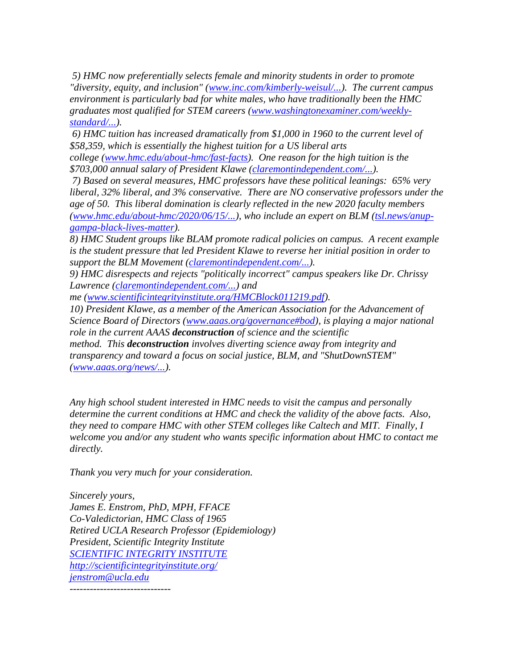*5) HMC now preferentially selects female and minority students in order to promote "diversity, equity, and inclusion" [\(www.inc.com/kimberly-weisul/...\)](https://www.inc.com/kimberly-weisul/how-harvey-mudd-college-achieved-gender-parity-computer-science-engineering-physics.html). The current campus environment is particularly bad for white males, who have traditionally been the HMC graduates most qualified for STEM careers [\(www.washingtonexaminer.com/weekly](https://www.washingtonexaminer.com/weekly-standard/even-harvey-mudd-a-math-and-science-college-has-surrendered-to-the-social-justice-movement)[standard/...\)](https://www.washingtonexaminer.com/weekly-standard/even-harvey-mudd-a-math-and-science-college-has-surrendered-to-the-social-justice-movement).*

*6) HMC tuition has increased dramatically from \$1,000 in 1960 to the current level of \$58,359, which is essentially the highest tuition for a US liberal arts* 

*college [\(www.hmc.edu/about-hmc/fast-facts\)](https://www.hmc.edu/about-hmc/fast-facts/). One reason for the high tuition is the \$703,000 annual salary of President Klawe [\(claremontindependent.com/...\)](https://claremontindependent.com/claremont-presidents-pay-shows-large-disparities/).*

*7) Based on several measures, HMC professors have these political leanings: 65% very liberal, 32% liberal, and 3% conservative. There are NO conservative professors under the age of 50. This liberal domination is clearly reflected in the new 2020 faculty members [\(www.hmc.edu/about-hmc/2020/06/15/...\)](https://www.hmc.edu/about-hmc/2020/06/15/harvey-mudd-announces-new-faculty-for-2020/), who include an expert on BLM [\(tsl.news/anup](https://tsl.news/anup-gampa-black-lives-matter/)[gampa-black-lives-matter\)](https://tsl.news/anup-gampa-black-lives-matter/).*

*8) HMC Student groups like BLAM promote radical policies on campus. A recent example is the student pressure that led President Klawe to reverse her initial position in order to support the BLM Movement [\(claremontindependent.com/...\)](https://claremontindependent.com/harvey-mudd-president-reverses-position-initially-no-institutional-support-blm/).*

*9) HMC disrespects and rejects "politically incorrect" campus speakers like Dr. Chrissy Lawrence [\(claremontindependent.com/...\)](http://claremontindependent.com/monsanto-speaker-claremont-is-by-far-the-worst-student-audience-ever-encountered/) and* 

*me [\(www.scientificintegrityinstitute.org/HMCBlock011219.pdf\)](http://www.scientificintegrityinstitute.org/HMCBlock011219.pdf).*

*10) President Klawe, as a member of the American Association for the Advancement of Science Board of Directors [\(www.aaas.org/governance#bod\)](https://www.aaas.org/governance#bod), is playing a major national role in the current AAAS deconstruction of science and the scientific method. This deconstruction involves diverting science away from integrity and transparency and toward a focus on social justice, BLM, and "ShutDownSTEM" [\(www.aaas.org/news/...\)](https://www.aaas.org/news/aaas-ceo-statement-shutdownstem-and-black-lives-matter).*

*Any high school student interested in HMC needs to visit the campus and personally determine the current conditions at HMC and check the validity of the above facts. Also, they need to compare HMC with other STEM colleges like Caltech and MIT. Finally, I welcome you and/or any student who wants specific information about HMC to contact me directly.*

*Thank you very much for your consideration.*

*Sincerely yours, James E. Enstrom, PhD, MPH, FFACE Co-Valedictorian, HMC Class of 1965 Retired UCLA Research Professor (Epidemiology) President, Scientific Integrity Institute [SCIENTIFIC INTEGRITY INSTITUTE](http://scientificintegrityinstitute.org/) <http://scientificintegrityinstitute.org/> [jenstrom@ucla.edu](mailto:jenstrom@ucla.edu)* ------------------------------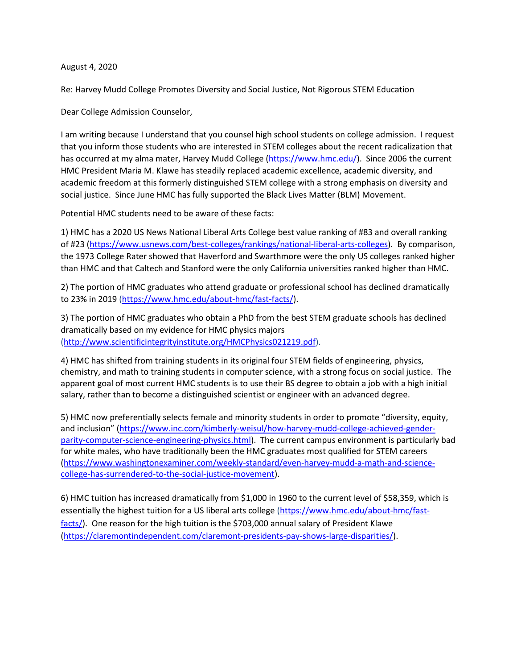## August 4, 2020

Re: Harvey Mudd College Promotes Diversity and Social Justice, Not Rigorous STEM Education

Dear College Admission Counselor,

I am writing because I understand that you counsel high school students on college admission. I request that you inform those students who are interested in STEM colleges about the recent radicalization that has occurred at my alma mater, Harvey Mudd College [\(https://www.hmc.edu/\)](https://www.hmc.edu/). Since 2006 the current HMC President Maria M. Klawe has steadily replaced academic excellence, academic diversity, and academic freedom at this formerly distinguished STEM college with a strong emphasis on diversity and social justice. Since June HMC has fully supported the Black Lives Matter (BLM) Movement.

Potential HMC students need to be aware of these facts:

1) HMC has a 2020 US News National Liberal Arts College best value ranking of #83 and overall ranking of #23 [\(https://www.usnews.com/best-colleges/rankings/national-liberal-arts-colleges\)](https://www.usnews.com/best-colleges/rankings/national-liberal-arts-colleges). By comparison, the 1973 College Rater showed that Haverford and Swarthmore were the only US colleges ranked higher than HMC and that Caltech and Stanford were the only California universities ranked higher than HMC.

2) The portion of HMC graduates who attend graduate or professional school has declined dramatically to 23% in 2019 [\(https://www.hmc.edu/about-hmc/fast-facts/\)](https://www.hmc.edu/about-hmc/fast-facts/).

3) The portion of HMC graduates who obtain a PhD from the best STEM graduate schools has declined dramatically based on my evidence for HMC physics majors [\(http://www.scientificintegrityinstitute.org/HMCPhysics021219.pdf\)](http://www.scientificintegrityinstitute.org/HMCPhysics021219.pdf).

4) HMC has shifted from training students in its original four STEM fields of engineering, physics, chemistry, and math to training students in computer science, with a strong focus on social justice. The apparent goal of most current HMC students is to use their BS degree to obtain a job with a high initial salary, rather than to become a distinguished scientist or engineer with an advanced degree.

5) HMC now preferentially selects female and minority students in order to promote "diversity, equity, and inclusion" ([https://www.inc.com/kimberly-weisul/how-harvey-mudd-college-achieved-gender](https://www.inc.com/kimberly-weisul/how-harvey-mudd-college-achieved-gender-parity-computer-science-engineering-physics.html)[parity-computer-science-engineering-physics.html\)](https://www.inc.com/kimberly-weisul/how-harvey-mudd-college-achieved-gender-parity-computer-science-engineering-physics.html). The current campus environment is particularly bad for white males, who have traditionally been the HMC graduates most qualified for STEM careers [\(https://www.washingtonexaminer.com/weekly-standard/even-harvey-mudd-a-math-and-science](https://www.washingtonexaminer.com/weekly-standard/even-harvey-mudd-a-math-and-science-college-has-surrendered-to-the-social-justice-movement)[college-has-surrendered-to-the-social-justice-movement\)](https://www.washingtonexaminer.com/weekly-standard/even-harvey-mudd-a-math-and-science-college-has-surrendered-to-the-social-justice-movement).

6) HMC tuition has increased dramatically from \$1,000 in 1960 to the current level of \$58,359, which is essentially the highest tuition for a US liberal arts college [\(https://www.hmc.edu/about-hmc/fast](https://www.hmc.edu/about-hmc/fast-facts/)[facts/\)](https://www.hmc.edu/about-hmc/fast-facts/). One reason for the high tuition is the \$703,000 annual salary of President Klawe [\(https://claremontindependent.com/claremont-presidents-pay-shows-large-disparities/\)](https://claremontindependent.com/claremont-presidents-pay-shows-large-disparities/).